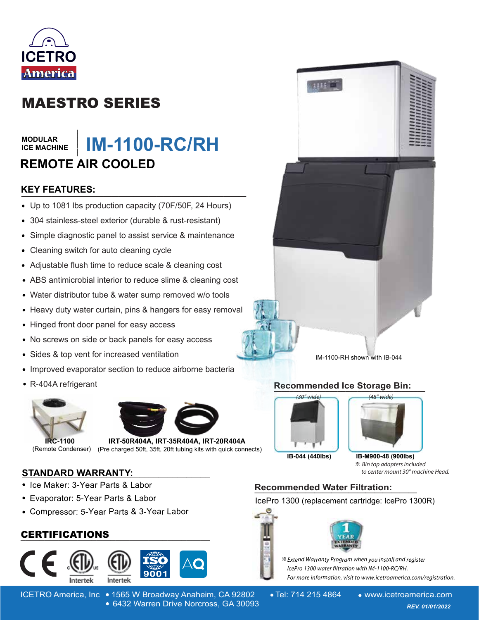

# MAESTRO SERIES

#### **MODULAR ICE MACHINE**

### **\_\_\_\_\_\_\_ IM-1100-RC/RH REMOTE AIR COOLED**

## **KEY FEATURES: \_\_\_\_\_\_\_\_\_\_\_\_\_\_\_\_\_\_\_\_\_\_\_\_\_\_\_\_\_\_**

- Up to 1081 lbs production capacity (70F/50F, 24 Hours)
- 304 stainless-steel exterior (durable & rust-resistant)
- Simple diagnostic panel to assist service & maintenance  $\bullet$
- Cleaning switch for auto cleaning cycle
- Adjustable flush time to reduce scale & cleaning cost
- ABS antimicrobial interior to reduce slime & cleaning cost
- Water distributor tube & water sump removed w/o tools
- Heavy duty water curtain, pins & hangers for easy removal
- Hinged front door panel for easy access
- No screws on side or back panels for easy access  $\bullet$
- Sides & top vent for increased ventilation  $\bullet$
- Improved evaporator section to reduce airborne bacteria
- R-404A refrigerant





**IRC-1100 IRT-50R404A, IRT-35R404A, IRT-20R404A** (Remote Condenser) (Pre charged 50ft, 35ft, 20ft tubing kits with quick connects)

#### **STANDARD WARRANTY: \_\_\_\_\_\_\_\_\_\_\_\_\_\_\_\_\_\_\_\_\_\_\_\_\_\_\_\_\_\_\_\_\_\_\_\_\_\_\_\_**

- Ice Maker: 3-Year Parts & Labor
- Evaporator: 5-Year Parts & Labor
- Compressor: 5-Year Parts & 3-Year Labor

### **\_\_\_\_\_\_\_\_\_\_\_\_\_\_\_\_\_\_\_\_\_\_\_\_\_\_\_\_\_\_\_\_\_\_\_\_\_\_\_\_** CERTIFICATIONS



- 
- ICETRO America, Inc 1565 W Broadway Anaheim, CA 92802 Tel: 714 215 4864 www.icetroamerica.com 6432 Warren Drive Norcross, GA 30093 *REV. 01/01/2022* 6432 Warren Drive Norcross, GA 30093



IM-1100-RH shown with IB-044

#### **Recommended Ice Storage Bin: \_\_\_\_\_\_\_\_\_\_\_\_\_\_\_\_\_\_\_\_\_\_\_\_\_\_\_\_\_\_\_\_\_\_\_\_\_\_**



**IB-044 (440lbs) IB-M900-48 (900lbs)**

※ Bin top adapters included to center mount 30" machine Head.

## **Recommended Water Filtration: \_\_\_\_\_\_\_\_\_\_\_\_\_\_\_\_\_\_\_**

IcePro 1300 (replacement cartridge: IcePro 1300R)



**※** Extend Warranty Program when you install and register lcePro 1300 water filtration with IM-1100-RC/RH. For more information, visit to www.icetroamerica.com/registration.